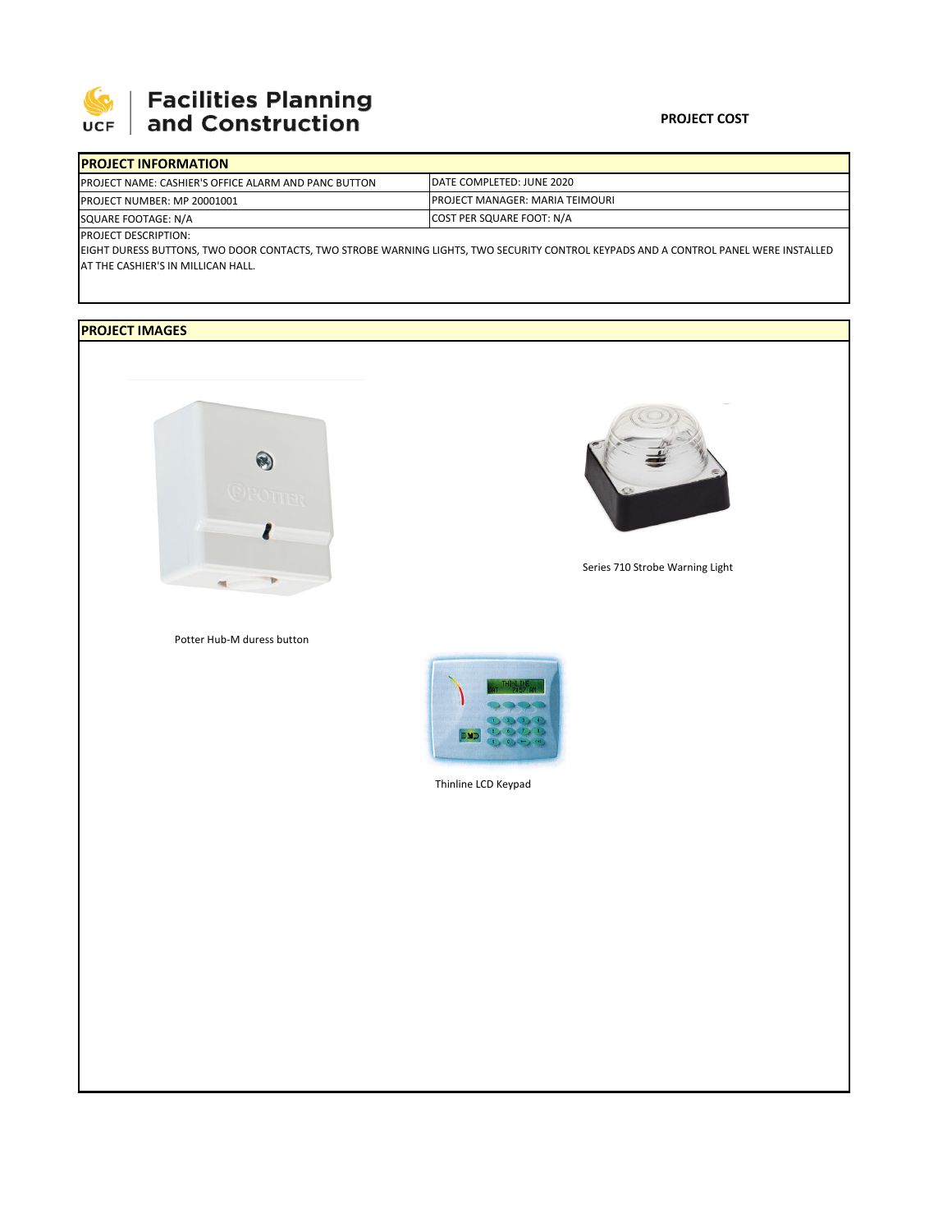

## | Facilities Planning<br>| and Construction

| <b>IPROJECT INFORMATION</b>                                  |                                         |
|--------------------------------------------------------------|-----------------------------------------|
| <b>IPROJECT NAME: CASHIER'S OFFICE ALARM AND PANC BUTTON</b> | DATE COMPLETED: JUNE 2020               |
| <b>IPROJECT NUMBER: MP 20001001</b>                          | <b>IPROJECT MANAGER: MARIA TEIMOURI</b> |
| SQUARE FOOTAGE: N/A                                          | <b>COST PER SQUARE FOOT: N/A</b>        |
| <b>IDROIECT DESCRIPTION:</b>                                 |                                         |

JECT DESCRIPTION:

EIGHT DURESS BUTTONS, TWO DOOR CONTACTS, TWO STROBE WARNING LIGHTS, TWO SECURITY CONTROL KEYPADS AND A CONTROL PANEL WERE INSTALLED AT THE CASHIER'S IN MILLICAN HALL.

## **PROJECT IMAGES**





Series 710 Strobe Warning Light

Potter Hub‐M duress button



Thinline LCD Keypad